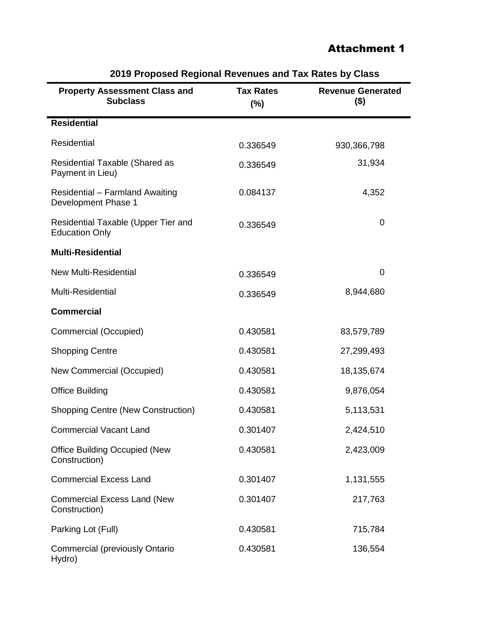## Attachment 1

| o i Toposou nogional novonace anu Tax natos by                |                         |                                     |  |  |
|---------------------------------------------------------------|-------------------------|-------------------------------------|--|--|
| <b>Property Assessment Class and</b><br><b>Subclass</b>       | <b>Tax Rates</b><br>(%) | <b>Revenue Generated</b><br>$($ \$) |  |  |
| <b>Residential</b>                                            |                         |                                     |  |  |
| Residential                                                   | 0.336549                | 930, 366, 798                       |  |  |
| <b>Residential Taxable (Shared as</b><br>Payment in Lieu)     | 0.336549                | 31,934                              |  |  |
| <b>Residential - Farmland Awaiting</b><br>Development Phase 1 | 0.084137                | 4,352                               |  |  |
| Residential Taxable (Upper Tier and<br><b>Education Only</b>  | 0.336549                | 0                                   |  |  |
| <b>Multi-Residential</b>                                      |                         |                                     |  |  |
| <b>New Multi-Residential</b>                                  | 0.336549                | $\overline{0}$                      |  |  |
| Multi-Residential                                             | 0.336549                | 8,944,680                           |  |  |
| <b>Commercial</b>                                             |                         |                                     |  |  |
| Commercial (Occupied)                                         | 0.430581                | 83,579,789                          |  |  |
| <b>Shopping Centre</b>                                        | 0.430581                | 27,299,493                          |  |  |
| New Commercial (Occupied)                                     | 0.430581                | 18,135,674                          |  |  |
| <b>Office Building</b>                                        | 0.430581                | 9,876,054                           |  |  |
| <b>Shopping Centre (New Construction)</b>                     | 0.430581                | 5,113,531                           |  |  |
| <b>Commercial Vacant Land</b>                                 | 0.301407                | 2,424,510                           |  |  |
| <b>Office Building Occupied (New</b><br>Construction)         | 0.430581                | 2,423,009                           |  |  |
| <b>Commercial Excess Land</b>                                 | 0.301407                | 1,131,555                           |  |  |
| <b>Commercial Excess Land (New</b><br>Construction)           | 0.301407                | 217,763                             |  |  |
| Parking Lot (Full)                                            | 0.430581                | 715,784                             |  |  |
| <b>Commercial (previously Ontario</b><br>Hydro)               | 0.430581                | 136,554                             |  |  |

## **2019 Proposed Regional Revenues and Tax Rates by Class**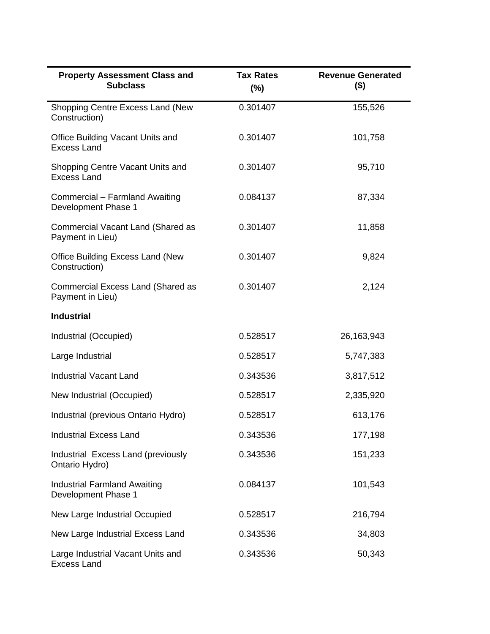| <b>Property Assessment Class and</b><br><b>Subclass</b>    | <b>Tax Rates</b><br>$(\%)$ | <b>Revenue Generated</b><br>$($ \$) |
|------------------------------------------------------------|----------------------------|-------------------------------------|
| Shopping Centre Excess Land (New<br>Construction)          | 0.301407                   | 155,526                             |
| Office Building Vacant Units and<br><b>Excess Land</b>     | 0.301407                   | 101,758                             |
| Shopping Centre Vacant Units and<br><b>Excess Land</b>     | 0.301407                   | 95,710                              |
| Commercial - Farmland Awaiting<br>Development Phase 1      | 0.084137                   | 87,334                              |
| Commercial Vacant Land (Shared as<br>Payment in Lieu)      | 0.301407                   | 11,858                              |
| <b>Office Building Excess Land (New</b><br>Construction)   | 0.301407                   | 9,824                               |
| Commercial Excess Land (Shared as<br>Payment in Lieu)      | 0.301407                   | 2,124                               |
| <b>Industrial</b>                                          |                            |                                     |
| Industrial (Occupied)                                      | 0.528517                   | 26,163,943                          |
| Large Industrial                                           | 0.528517                   | 5,747,383                           |
| <b>Industrial Vacant Land</b>                              | 0.343536                   | 3,817,512                           |
| New Industrial (Occupied)                                  | 0.528517                   | 2,335,920                           |
| Industrial (previous Ontario Hydro)                        | 0.528517                   | 613,176                             |
| <b>Industrial Excess Land</b>                              | 0.343536                   | 177,198                             |
| Industrial Excess Land (previously<br>Ontario Hydro)       | 0.343536                   | 151,233                             |
| <b>Industrial Farmland Awaiting</b><br>Development Phase 1 | 0.084137                   | 101,543                             |
| New Large Industrial Occupied                              | 0.528517                   | 216,794                             |
| New Large Industrial Excess Land                           | 0.343536                   | 34,803                              |
| Large Industrial Vacant Units and<br><b>Excess Land</b>    | 0.343536                   | 50,343                              |